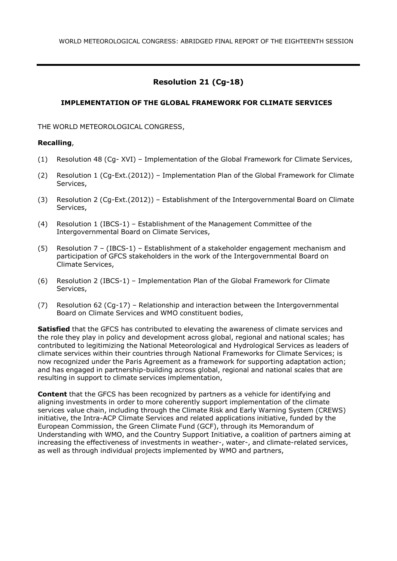# **Resolution 21 (Cg-18)**

## **IMPLEMENTATION OF THE GLOBAL FRAMEWORK FOR CLIMATE SERVICES**

THE WORLD METEOROLOGICAL CONGRESS,

### **Recalling**,

- (1) Resolution 48 (Cg- XVI) Implementation of the Global Framework for Climate Services,
- (2) Resolution 1 (Cg-Ext.(2012)) Implementation Plan of the Global Framework for Climate Services,
- (3) Resolution 2 (Cg-Ext.(2012)) Establishment of the Intergovernmental Board on Climate Services,
- (4) Resolution 1 (IBCS-1) Establishment of the Management Committee of the Intergovernmental Board on Climate Services,
- (5) Resolution 7 (IBCS-1) Establishment of a stakeholder engagement mechanism and participation of GFCS stakeholders in the work of the Intergovernmental Board on Climate Services,
- (6) Resolution 2 (IBCS-1) Implementation Plan of the Global Framework for Climate Services,
- (7) Resolution 62 (Cg-17) Relationship and interaction between the Intergovernmental Board on Climate Services and WMO constituent bodies,

**Satisfied** that the GFCS has contributed to elevating the awareness of climate services and the role they play in policy and development across global, regional and national scales; has contributed to legitimizing the National Meteorological and Hydrological Services as leaders of climate services within their countries through National Frameworks for Climate Services; is now recognized under the Paris Agreement as a framework for supporting adaptation action; and has engaged in partnership-building across global, regional and national scales that are resulting in support to climate services implementation,

**Content** that the GFCS has been recognized by partners as a vehicle for identifying and aligning investments in order to more coherently support implementation of the climate services value chain, including through the Climate Risk and Early Warning System (CREWS) initiative, the Intra-ACP Climate Services and related applications initiative, funded by the European Commission, the Green Climate Fund (GCF), through its Memorandum of Understanding with WMO, and the Country Support Initiative, a coalition of partners aiming at increasing the effectiveness of investments in weather-, water-, and climate-related services, as well as through individual projects implemented by WMO and partners,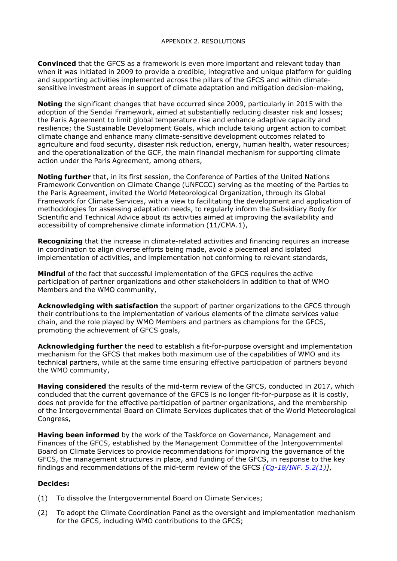**Convinced** that the GFCS as a framework is even more important and relevant today than when it was initiated in 2009 to provide a credible, integrative and unique platform for guiding and supporting activities implemented across the pillars of the GFCS and within climatesensitive investment areas in support of climate adaptation and mitigation decision-making,

**Noting** the significant changes that have occurred since 2009, particularly in 2015 with the adoption of the Sendai Framework, aimed at substantially reducing disaster risk and losses; the Paris Agreement to limit global temperature rise and enhance adaptive capacity and resilience; the Sustainable Development Goals, which include taking urgent action to combat climate change and enhance many climate-sensitive development outcomes related to agriculture and food security, disaster risk reduction, energy, human health, water resources; and the operationalization of the GCF, the main financial mechanism for supporting climate action under the Paris Agreement, among others,

**Noting further** that, in its first session, the Conference of Parties of the United Nations Framework Convention on Climate Change (UNFCCC) serving as the meeting of the Parties to the Paris Agreement, invited the World Meteorological Organization, through its Global Framework for Climate Services, with a view to facilitating the development and application of methodologies for assessing adaptation needs, to regularly inform the Subsidiary Body for Scientific and Technical Advice about its activities aimed at improving the availability and accessibility of comprehensive climate information (11/CMA.1),

**Recognizing** that the increase in climate-related activities and financing requires an increase in coordination to align diverse efforts being made, avoid a piecemeal and isolated implementation of activities, and implementation not conforming to relevant standards,

**Mindful** of the fact that successful implementation of the GFCS requires the active participation of partner organizations and other stakeholders in addition to that of WMO Members and the WMO community,

**Acknowledging with satisfaction** the support of partner organizations to the GFCS through their contributions to the implementation of various elements of the climate services value chain, and the role played by WMO Members and partners as champions for the GFCS, promoting the achievement of GFCS goals,

**Acknowledging further** the need to establish a fit-for-purpose oversight and implementation mechanism for the GFCS that makes both maximum use of the capabilities of WMO and its technical partners, while at the same time ensuring effective participation of partners beyond the WMO community,

**Having considered** the results of the mid-term review of the GFCS, conducted in 2017, which concluded that the current governance of the GFCS is no longer fit-for-purpose as it is costly, does not provide for the effective participation of partner organizations, and the membership of the Intergovernmental Board on Climate Services duplicates that of the World Meteorological Congress,

**Having been informed** by the work of the Taskforce on Governance, Management and Finances of the GFCS, established by the Management Committee of the Intergovernmental Board on Climate Services to provide recommendations for improving the governance of the GFCS, the management structures in place, and funding of the GFCS, in response to the key findings and recommendations of the mid-term review of the GFCS *[\[Cg-18/INF.](https://library.wmo.int/index.php?lvl=notice_display&id=21440&.XShKga6Waos) 5.2(1)]*,

### **Decides:**

- (1) To dissolve the Intergovernmental Board on Climate Services;
- (2) To adopt the Climate Coordination Panel as the oversight and implementation mechanism for the GFCS, including WMO contributions to the GFCS;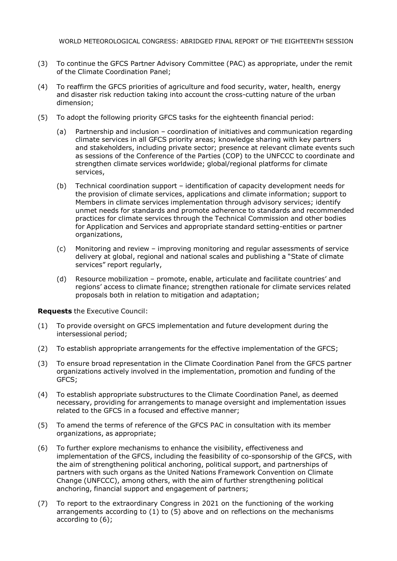- (3) To continue the GFCS Partner Advisory Committee (PAC) as appropriate, under the remit of the Climate Coordination Panel;
- (4) To reaffirm the GFCS priorities of agriculture and food security, water, health, energy and disaster risk reduction taking into account the cross-cutting nature of the urban dimension;
- (5) To adopt the following priority GFCS tasks for the eighteenth financial period:
	- (a) Partnership and inclusion coordination of initiatives and communication regarding climate services in all GFCS priority areas; knowledge sharing with key partners and stakeholders, including private sector; presence at relevant climate events such as sessions of the Conference of the Parties (COP) to the UNFCCC to coordinate and strengthen climate services worldwide; global/regional platforms for climate services,
	- (b) Technical coordination support identification of capacity development needs for the provision of climate services, applications and climate information; support to Members in climate services implementation through advisory services; identify unmet needs for standards and promote adherence to standards and recommended practices for climate services through the Technical Commission and other bodies for Application and Services and appropriate standard setting-entities or partner organizations,
	- (c) Monitoring and review improving monitoring and regular assessments of service delivery at global, regional and national scales and publishing a "State of climate services" report regularly,
	- (d) Resource mobilization promote, enable, articulate and facilitate countries' and regions' access to climate finance; strengthen rationale for climate services related proposals both in relation to mitigation and adaptation;

**Requests** the Executive Council:

- (1) To provide oversight on GFCS implementation and future development during the intersessional period;
- (2) To establish appropriate arrangements for the effective implementation of the GFCS;
- (3) To ensure broad representation in the Climate Coordination Panel from the GFCS partner organizations actively involved in the implementation, promotion and funding of the GFCS;
- (4) To establish appropriate substructures to the Climate Coordination Panel, as deemed necessary, providing for arrangements to manage oversight and implementation issues related to the GFCS in a focused and effective manner;
- (5) To amend the terms of reference of the GFCS PAC in consultation with its member organizations, as appropriate;
- (6) To further explore mechanisms to enhance the visibility, effectiveness and implementation of the GFCS, including the feasibility of co-sponsorship of the GFCS, with the aim of strengthening political anchoring, political support, and partnerships of partners with such organs as the United Nations Framework Convention on Climate Change (UNFCCC), among others, with the aim of further strengthening political anchoring, financial support and engagement of partners;
- (7) To report to the extraordinary Congress in 2021 on the functioning of the working arrangements according to (1) to (5) above and on reflections on the mechanisms according to (6);